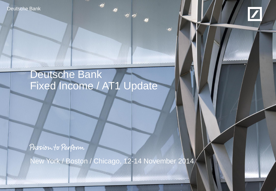Deutsche Bank



# Deutsche Bank Fixed Income / AT1 Update

Passion to Perform

New York / Boston / Chicago, 12-14 November 2014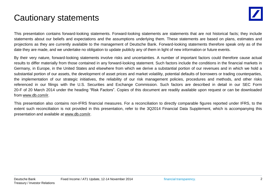## Cautionary statements

This presentation contains forward-looking statements. Forward-looking statements are statements that are not historical facts; they include statements about our beliefs and expectations and the assumptions underlying them. These statements are based on plans, estimates and projections as they are currently available to the management of Deutsche Bank. Forward-looking statements therefore speak only as of the date they are made, and we undertake no obligation to update publicly any of them in light of new information or future events.

By their very nature, forward-looking statements involve risks and uncertainties. A number of important factors could therefore cause actual results to differ materially from those contained in any forward-looking statement. Such factors include the conditions in the financial markets in Germany, in Europe, in the United States and elsewhere from which we derive a substantial portion of our revenues and in which we hold a substantial portion of our assets, the development of asset prices and market volatility, potential defaults of borrowers or trading counterparties, the implementation of our strategic initiatives, the reliability of our risk management policies, procedures and methods, and other risks referenced in our filings with the U.S. Securities and Exchange Commission. Such factors are described in detail in our SEC Form 20-F of 20 March 2014 under the heading "Risk Factors". Copies of this document are readily available upon request or can be downloaded from www.db.com/ir.

This presentation also contains non-IFRS financial measures. For a reconciliation to directly comparable figures reported under IFRS, to the extent such reconciliation is not provided in this presentation, refer to the 3Q2014 Financial Data Supplement, which is accompanying this presentation and available at www.db.com/ir.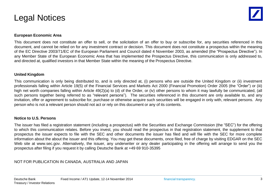### Legal Notices

#### **European Economic Area**

This document does not constitute an offer to sell, or the solicitation of an offer to buy or subscribe for, any securities referenced in this document, and cannot be relied on for any investment contract or decision. This document does not constitute a prospectus within the meaning of the EC Directive 2003/71/EC of the European Parliament and Council dated 4 November 2003, as amended (the "Prospectus Directive"). In any Member State of the European Economic Area that has implemented the Prospectus Directive, this communication is only addressed to, and directed at, qualified investors in that Member State within the meaning of the Prospectus Directive.

#### **United Kingdom**

This communication is only being distributed to, and is only directed at, (i) persons who are outside the United Kingdom or (ii) investment professionals falling within Article 19(5) of the Financial Services and Markets Act 2000 (Financial Promotion) Order 2005 (the "Order") or (iii) high net worth companies falling within Article 49(2)(a) to (d) of the Order, or (iv) other persons to whom it may lawfully be communicated, (all such persons together being referred to as "relevant persons"). The securities referenced in this document are only available to, and any invitation, offer or agreement to subscribe for, purchase or otherwise acquire such securities will be engaged in only with, relevant persons. Any person who is not a relevant person should not act or rely on this document or any of its contents.

#### **Notice to U.S. Persons**

The issuer has filed a registration statement (including a prospectus) with the Securities and Exchange Commission (the "SEC") for the offering to which this communication relates. Before you invest, you should read the prospectus in that registration statement, the supplement to that prospectus the issuer expects to file with the SEC and other documents the issuer has filed and will file with the SEC for more complete information about the about the issuer and this offering. You may get these documents, once filed, free of charge by visiting EDGAR on the SEC Web site at www.sec.gov. Alternatively, the issuer, any underwriter or any dealer participating in the offering will arrange to send you the prospectus after filing if you request it by calling Deutsche Bank at +49 69 910-35395

#### NOT FOR PUBLICATION IN CANADA, AUSTRALIA AND JAPAN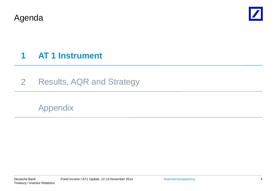Agenda



## **1 AT 1 Instrument**

2 Results, AQR and Strategy

Appendix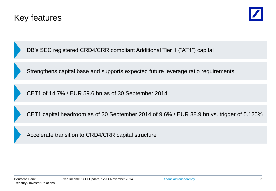



DB's SEC registered CRD4/CRR compliant Additional Tier 1 ("AT1") capital

Strengthens capital base and supports expected future leverage ratio requirements

CET1 of 14.7% / EUR 59.6 bn as of 30 September 2014

CET1 capital headroom as of 30 September 2014 of 9.6% / EUR 38.9 bn vs. trigger of 5.125%

Accelerate transition to CRD4/CRR capital structure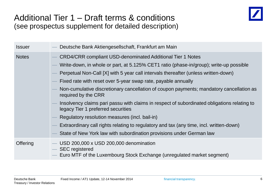### Additional Tier 1 – Draft terms & conditions (see prospectus supplement for detailed description)



| <b>Issuer</b> | Deutsche Bank Aktiengesellschaft, Frankfurt am Main                                                                                                                                                                                                                                                                                                                                                                                                                                                                                                                                                                                                                                                                                                                                            |
|---------------|------------------------------------------------------------------------------------------------------------------------------------------------------------------------------------------------------------------------------------------------------------------------------------------------------------------------------------------------------------------------------------------------------------------------------------------------------------------------------------------------------------------------------------------------------------------------------------------------------------------------------------------------------------------------------------------------------------------------------------------------------------------------------------------------|
| <b>Notes</b>  | <b>CRD4/CRR compliant USD-denominated Additional Tier 1 Notes</b><br>Write-down, in whole or part, at 5.125% CET1 ratio (phase-in/group); write-up possible<br>Perpetual Non-Call [X] with 5 year call intervals thereafter (unless written-down)<br>Fixed rate with reset over 5-year swap rate, payable annually<br>Non-cumulative discretionary cancellation of coupon payments; mandatory cancellation as<br>required by the CRR<br>Insolvency claims pari passu with claims in respect of subordinated obligations relating to<br>legacy Tier 1 preferred securities<br>Regulatory resolution measures (incl. bail-in)<br>Extraordinary call rights relating to regulatory and tax (any time, incl. written-down)<br>State of New York law with subordination provisions under German law |
| Offering      | USD 200,000 x USD 200,000 denomination<br><b>SEC</b> registered<br>Euro MTF of the Luxembourg Stock Exchange (unregulated market segment)                                                                                                                                                                                                                                                                                                                                                                                                                                                                                                                                                                                                                                                      |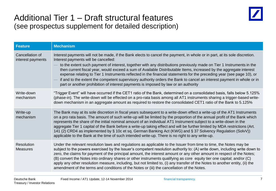

### Additional Tier 1 – Draft structural features (see prospectus supplement for detailed description)

| <b>Feature</b>                       | <b>Mechanism</b>                                                                                                                                                                                                                                                                                                                                                                                                                                                                                                                                                                                                                                                                                                                                         |
|--------------------------------------|----------------------------------------------------------------------------------------------------------------------------------------------------------------------------------------------------------------------------------------------------------------------------------------------------------------------------------------------------------------------------------------------------------------------------------------------------------------------------------------------------------------------------------------------------------------------------------------------------------------------------------------------------------------------------------------------------------------------------------------------------------|
| Cancellation of<br>interest payments | Interest payments will not be made, if the Bank elects to cancel the payment, in whole or in part, at its sole discretion.<br>Interest payments will be cancelled:<br>to the extent such payment of interest, together with any distributions previously made on Tier 1 Instruments in the<br>then current fiscal year, would exceed a sum of Available Distributable Items, increased by the aggregate interest<br>expense relating to Tier 1 Instruments reflected in the financial statements for the preceding year (see page 10), or<br>if and to the extent the competent supervisory authority orders the Bank to cancel an interest payment in whole or in<br>part or another prohibition of interest payments is imposed by law or an authority |
| Write-down<br>mechanism              | "Trigger Event" will have occurred if the CET1 ratio of the Bank, determined on a consolidated basis, falls below 5.125%<br>(phase-in). The write-down will be effected on a pro-rata basis among all AT1 instruments sharing a trigger-based write-<br>down mechanism in an aggregate amount as required to restore the consolidated CET1 ratio of the Bank to 5.125%                                                                                                                                                                                                                                                                                                                                                                                   |
| Write-up<br>mechanism                | The Bank may at its sole discretion in fiscal years subsequent to a write-down effect a write-up of the AT1 Instruments<br>on a pro rata basis. The amount of such write-up will be limited by the proportion of the annual profit of the Bank which<br>represents the share of the initial nominal amount of an individual AT1 Instrument subject to a write-down in the<br>aggregate Tier 1 capital of the Bank before a write-up taking effect and will be further limited by MDA restrictions (Art.<br>141 (2) CRD4 as implemented by § 10c et sq. German Banking Act (KWG) and § 37 Solvency Regulation (SolvV))<br>applicable to the Bank at the time of such intended write-up. There is no right to any write-up.                                |
| Resolution<br><b>Measures</b>        | Under the relevant resolution laws and regulations as applicable to the Issuer from time to time, the Notes may be<br>subject to the powers exercised by the Issuer's competent resolution authority to: (A) write down, including write down to<br>zero, the claims for payment of the principal amount, the interest amount or any other amount in respect of the Notes;<br>(B) convert the Notes into ordinary shares or other instruments qualifying as core equity tier one capital; and/or (C)<br>apply any other resolution measure, including, but not limited to, (i) any transfer of the Notes to another entity, (ii) the<br>amendment of the terms and conditions of the Notes or (iii) the cancellation of the Notes.                       |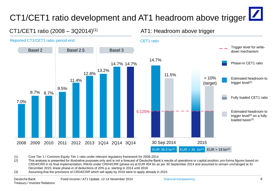# CT1/CET1 ratio development and AT1 headroom above trigger

#### CT1/CET1 ratio (2008 – 3Q2014)(1) Reported CT1/CET1 ratio, period end Basel 2 Basel 2.5 Basel 3 11.5% 14.7% 3Q2014 3Q2015 30 Sep 2014 2015 Phase-in CET1 ratio Fully loaded CET1 ratio Trigger level for writedown mechanism Estimated headroom to trigger level $(2)$  on a fully loaded basis(3) > 10% (target) 5.125% EUR 38.9 bn<sup>(2)</sup> EUR > 35 bn<sup>(2)</sup> EUR > 19 bn<sup>(2)</sup> CET1 ratio 7.0% 8.7% 8.7% 9.5% 11.4% 12.8% 13.2% 14.7% 14.7% 2008 2009 2010 2011 2012 2013 1Q14 2Q14 3Q14 Estimated headroom to trigger level<sup>(2)</sup>

AT1: Headroom above trigger

(1) Core Tier 1 / Common Equity Tier 1 ratio under relevant regulatory framework for 2008-2014

(2) This analysis is presented for illustrative purposes only and is not a forecast of Deutsche Bank's results of operations or capital position; pro-forma figures based on CRD4/CRR in its final implementation; RWAs under CRD4/CRR (phase-in) at EUR 404 bn as per 30 September 2014 and assumed to remain unchanged at 31 December 2015; linear phase-in of deductions of 20% p.a. starting in 2014 until 2018

(3) Assuming that the provisions of CRD4/CRR which will apply by 2019 were to apply already in 2015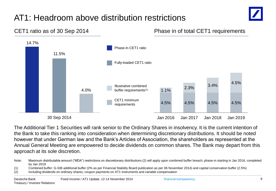## AT1: Headroom above distribution restrictions





The Additional Tier 1 Securities will rank senior to the Ordinary Shares in insolvency. It is the current intention of the Bank to take this ranking into consideration when determining discretionary distributions. It should be noted however that under German law and the Bank's Articles of Association, the shareholders as represented at the Annual General Meeting are empowered to decide dividends on common shares. The Bank may depart from this approach at its sole discretion.

Note: Maximum distributable amount ("MDA") restrictions on discretionary distributions (2) will apply upon combined buffer breach; phase-in starting in Jan 2016, completed by Jan 2019

<sup>(1)</sup> Combined buffer: G-SIB additional buffer (2% as per Financial Stability Board publication as per 06 November 2014) and capital conservation buffer (2.5%)

<sup>(2)</sup> Including dividends on ordinary shares, coupon payments on AT1 instruments and variable compensation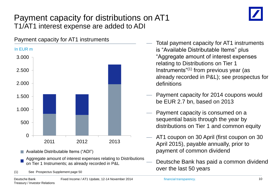### Payment capacity for distributions on AT1 T1/AT1 interest expense are added to ADI



- Available Distributable Items ("ADI")
- Aggregate amount of interest expenses relating to Distributions on Tier 1 Instruments; as already recorded in P&L
- (1) See Prospectus Supplement page 50
- Total payment capacity for AT1 instruments is "Available Distributable Items" plus "Aggregate amount of interest expenses relating to Distributions on Tier 1 Instruments"(1) from previous year (as already recorded in P&L); see prospectus for definitions
- Payment capacity for 2014 coupons would be EUR 2.7 bn, based on 2013
- Payment capacity is consumed on a sequential basis through the year by distributions on Tier 1 and common equity
- AT1 coupon on 30 April (first coupon on 30 April 2015), payable annually, prior to payment of common dividend
- Deutsche Bank has paid a common dividend over the last 50 years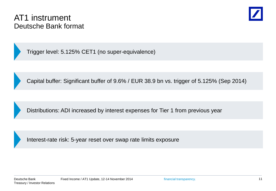### AT1 instrument Deutsche Bank format



Trigger level: 5.125% CET1 (no super-equivalence)

Capital buffer: Significant buffer of 9.6% / EUR 38.9 bn vs. trigger of 5.125% (Sep 2014)

Distributions: ADI increased by interest expenses for Tier 1 from previous year

Interest-rate risk: 5-year reset over swap rate limits exposure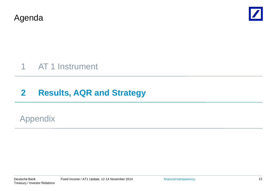Agenda



## 1 AT 1 Instrument

## **2 Results, AQR and Strategy**

### Appendix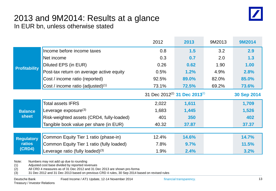

#### 2013 and 9M2014: Results at a glance In EUR bn, unless otherwise stated

|                      |                                               | 2012  | 2013                          | 9M2013 | 9M2014      |
|----------------------|-----------------------------------------------|-------|-------------------------------|--------|-------------|
|                      | Income before income taxes                    | 0.8   | 1.5                           | 3.2    | 2.9         |
|                      | Net income                                    | 0.3   | 0.7                           | 2.0    | 1.3         |
| <b>Profitability</b> | Diluted EPS (in EUR)                          | 0.26  | 0.62                          | 1.90   | 1.00        |
|                      | Post-tax return on average active equity      | 0.5%  | 1.2%                          | 4.9%   | 2.8%        |
|                      | Cost / income ratio (reported)                | 92.5% | 89.0%                         | 82.0%  | 85.0%       |
|                      | Cost / income ratio (adjusted) <sup>(1)</sup> | 73.1% | <b>72.5%</b>                  | 69.2%  | 73.6%       |
|                      |                                               |       | 31 Dec 2012(2) 31 Dec 2013(2) |        | 30 Sep 2014 |
|                      | <b>Total assets IFRS</b>                      | 2,022 | 1,611                         |        | 1,709       |
| <b>Balance</b>       | Leverage exposure $(3)$                       | 1,683 | 1,445                         |        | 1,526       |
| <b>sheet</b>         | Risk-weighted assets (CRD4, fully-loaded)     | 401   | 350                           |        | 402         |
|                      | Tangible book value per share (in EUR)        | 40.32 | 37.87                         |        | 37.37       |
|                      |                                               |       |                               |        |             |
| <b>Regulatory</b>    | Common Equity Tier 1 ratio (phase-in)         | 12.4% | 14.6%                         |        | 14.7%       |
| <b>ratios</b>        | Common Equity Tier 1 ratio (fully loaded)     | 7.8%  | 9.7%                          |        | 11.5%       |
| (CRD4)               | Leverage ratio (fully loaded) $(3)$           | 1.9%  | 2.4%                          |        | 3.2%        |

Note: Numbers may not add up due to rounding

(1) Adjusted cost base divided by reported revenues

(2) All CRD 4 measures as of 31 Dec 2012 and 31 Dec 2013 are shown pro-forma

(3) 31 Dec 2012 and 31 Dec 2013 based on previous CRD 4 rules, 30 Sep 2014 based on revised rules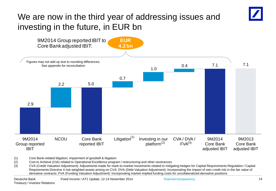## We are now in the third year of addressing issues and investing in the future, in EUR bn



(1) Core Bank-related litigation; impairment of goodwill & litigation

(2) Cost to Achieve (CtA) related to Operational Excellence program / restructuring and other severances

(3) CVA (Credit Valuation Adjustment): Adjustments made for mark-to-market movements related to mitigating hedges for Capital Requirements Regulation / Capital Requirements Directive 4 risk-weighted assets arising on CVA; DVA (Debt Valuation Adjustment): Incorporating the impact of own credit risk in the fair value of derivative contracts; FVA (Funding Valuation Adjustment): Incorporating market-implied funding costs for uncollateralized derivative positions

financial transparency.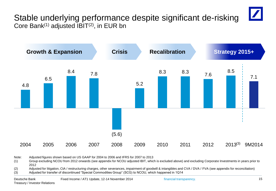

Core Bank<sup>(1)</sup> adjusted  $IBIT<sup>(2)</sup>$ , in EUR bn



Note: Adjusted figures shown based on US GAAP for 2004 to 2006 and IFRS for 2007 to 2013

(1) Group excluding NCOU from 2012 onwards (see appendix for NCOU adjusted IBIT, which is excluded above) and excluding Corporate Investments in years prior to 2012

(2) Adjusted for litigation, CtA / restructuring charges, other severances, impairment of goodwill & intangibles and CVA / DVA / FVA (see appendix for reconciliation) (3) Adjusted for transfer of discontinued "Special Commodities Group" (SCG) to NCOU, which happened in 1Q14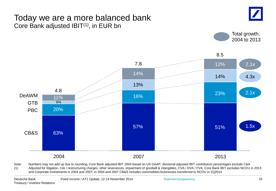### Today we are a more balanced bank Core Bank adjusted IBIT(1), in EUR bn







Note: Numbers may not add up due to rounding; Core Bank adjusted IBIT 2004 based on US GAAP; divisional adjusted IBIT contribution percentages exclude C&A (1) Adjusted for litigation, CtA / restructuring charges, other severances, impairment of goodwill & intangibles, CVA / DVA / FVA; Core Bank IBIT excludes NCOU in 2013 and Corporate Investments in 2004 and 2007; in 2004 and 2007 CB&S includes commodities businesses transferred to NCOU in 1Q2014

financial transparency.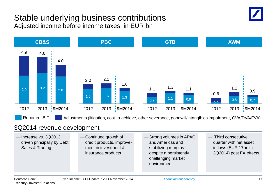### Stable underlying business contributions Adjusted income before income taxes, in EUR bn





#### 3Q2014 revenue development

| $-$ Increase vs. 3Q2013<br>driven principally by Debt<br>Sales & Trading | -Continued growth of<br>credit products, improve-<br>ment in investment &<br>insurance products |  | -Strong volumes in APAC<br>and Americas and<br>stabilizing margins<br>despite a persistently<br>challenging market<br>environment |  | - Third consecutive<br>quarter with net asset<br>inflows (EUR 17bn in<br>3Q2014) post FX effects |
|--------------------------------------------------------------------------|-------------------------------------------------------------------------------------------------|--|-----------------------------------------------------------------------------------------------------------------------------------|--|--------------------------------------------------------------------------------------------------|
|--------------------------------------------------------------------------|-------------------------------------------------------------------------------------------------|--|-----------------------------------------------------------------------------------------------------------------------------------|--|--------------------------------------------------------------------------------------------------|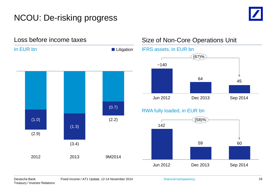## NCOU: De-risking progress



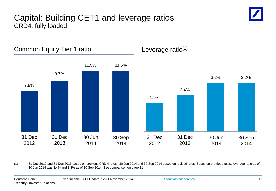### Capital: Building CET1 and leverage ratios CRD4, fully loaded





(1) 31 Dec 2012 and 31 Dec 2013 based on previous CRD 4 rules , 30 Jun 2014 and 30 Sep 2014 based on revised rules. Based on previous rules, leverage ratio as of 30 Jun 2014 was 3.4% and 3.3% as of 30 Sep 2014. See comparison on page 31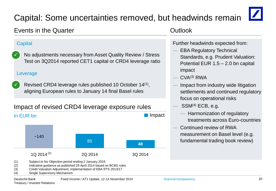# Capital: Some uncertainties removed, but headwinds remain



#### Events in the Quarter

#### **Capital**

 No adjustments necessary from Asset Quality Review / Stress Test on 3Q2014 reported CET1 capital or CRD4 leverage ratio  $\checkmark$ 

#### Leverage

Revised CRD4 leverage rules published 10 October 14<sup>(1)</sup>, aligning European rules to January 14 final Basel rules  $\checkmark$ 

#### Impact of revised CRD4 leverage exposure rules



#### **Outlook**

Further headwinds expected from:

- EBA Regulatory Technical Standards, e.g. Prudent Valuation: Potential EUR 1.5 – 2.0 bn capital impact
- $CVA^{(3)}$  RWA
- Impact from industry wide litigation settlements and continued regulatory focus on operational risks
- $SSM<sup>(4)</sup> ECB, e.g.$ 
	- Harmonization of regulatory treatments across Euro-countries
- Continued review of RWA measurement on Basel level (e.g. fundamental trading book review)

- (2) Indicative guidance as published 29 April 2014 based on BCBS rules
- (3) Credit Valuation Adjustment, implementation of EBA RTS 2013/17
- (4) Single Supervisory Mechanism

<sup>(1)</sup> Subject to No Objection period ending 2 January 2015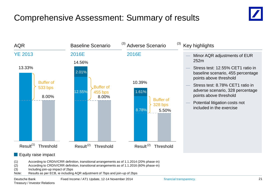## Comprehensive Assessment: Summary of results





#### **Equity raise impact**

- (1) According to CRDIV/CRR definition, transitional arrangements as of 1.1.2014 (20% phase-in)
- (2) According to CRDIV/CRR definition, transitional arrangements as of 1.1.2016 (60% phase-in)
- (3) Including join-up impact of 2bps
- Note: Results as per ECB, ie including AQR adjustment of 7bps and join-up of 2bps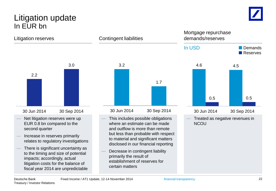### Litigation update In EUR bn



Litigation reserves Contingent liabilities



- Net litigation reserves were up EUR 0.8 bn compared to the second quarter
- Increase in reserves primarily relates to regulatory investigations
- There is significant uncertainty as to the timing and size of potential impacts; accordingly, actual litigation costs for the balance of fiscal year 2014 are unpredictable



- This includes possible obligations where an estimate can be made and outflow is more than remote but less than probable with respect to material and significant matters disclosed in our financial reporting
- Decrease in contingent liability primarily the result of establishment of reserves for certain matters



Mortgage repurchase demands/reserves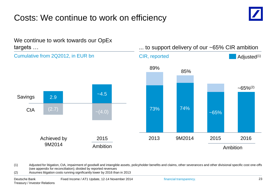## Costs: We continue to work on efficiency





(1) Adjusted for litigation, CtA, impairment of goodwill and intangible assets, policyholder benefits and claims, other severances and other divisional specific cost one-offs (see appendix for reconciliation); divided by reported revenues

(2) Assumes litigation costs running significantly lower by 2016 than in 2013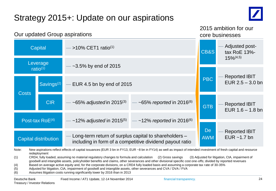# Strategy 2015+: Update on our aspirations



|              | Our updated Group aspirations                      |                                                       |                                                                                         |                         | 2015 ambition for our<br>core businesses   |  |  |  |
|--------------|----------------------------------------------------|-------------------------------------------------------|-----------------------------------------------------------------------------------------|-------------------------|--------------------------------------------|--|--|--|
|              | Capital                                            | >10% CET1 ratio <sup>(1)</sup>                        |                                                                                         | CB&S                    | Adjusted post-<br>tax RoE 13%-             |  |  |  |
|              | Leverage<br>$-3.5\%$ by end of 2015<br>ratio $(1)$ |                                                       |                                                                                         |                         | $15\%/4,5}$                                |  |  |  |
|              | Savings <sup>(2)</sup>                             | EUR 4.5 bn by end of 2015                             |                                                                                         | <b>PBC</b>              | <b>Reported IBIT</b><br>EUR $2.5 - 3.0$ bn |  |  |  |
| <b>Costs</b> | <b>CIR</b>                                         | $\sim$ 65% adjusted in 2015 <sup>(3)</sup>            | $\sim$ 65% reported in 2016 <sup>(6)</sup>                                              | <b>GTB</b>              | <b>Reported IBIT</b><br>EUR $1.6 - 1.8$ bn |  |  |  |
|              | Post-tax RoE <sup>(4)</sup>                        |                                                       | $\sim$ 12% adjusted in 2015 <sup>(5)</sup> — $\sim$ 12% reported in 2016 <sup>(6)</sup> |                         |                                            |  |  |  |
|              | Capital distribution                               | Long-term return of surplus capital to shareholders - | including in form of a competitive dividend payout ratio                                | <b>De</b><br><b>AWM</b> | <b>Reported IBIT</b><br>EUR $~1.7$ bn      |  |  |  |

Note: New aspirations reflect effects of capital issuances (EUR 3 bn in FY13, EUR ~8 bn in FY14) as well as impact of intended investment of fresh capital and resource redeployment

- (1) CRD4, fully loaded, assuming no material regulatory changes to formula and calculation (2) Gross savings (3) Adjusted for litigation, CtA, impairment of goodwill and intangible assets, policyholder benefits and claims, other severances and other divisional specific cost one-offs; divided by reported revenues
- (4) Based on average active equity and, for the corporate divisions, on a CRD4 fully loaded basis and assuming a corporate tax rate of 30-35%
- (5) Adjusted for litigation, CtA, impairment of goodwill and intangible assets, other severances and CVA / DVA / FVA
- (6) Assumes litigation costs running significantly lower by 2016 than in 2013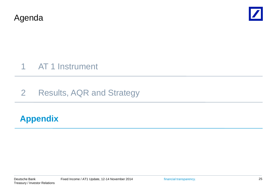Agenda



## 1 AT 1 Instrument

## 2 Results, AQR and Strategy

### **Appendix**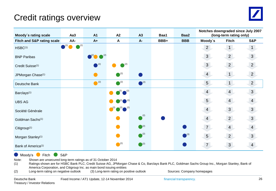## Credit ratings overview



| Moody's rating scale                  | Aa <sub>3</sub> | <b>A1</b>                              | A2                                    | A3                        | Baa1 | Baa2          | Notches downgraded since July 2007<br>(long-term rating only) |                |                |  |
|---------------------------------------|-----------------|----------------------------------------|---------------------------------------|---------------------------|------|---------------|---------------------------------------------------------------|----------------|----------------|--|
| <b>Fitch and S&amp;P rating scale</b> | AA-             | $A+$                                   | A                                     | A-                        | BBB+ | <b>BBB</b>    | Moody's                                                       | <b>Fitch</b>   | <b>S&amp;P</b> |  |
| HSBC <sup>(1)</sup>                   | (2)<br>(2)      |                                        |                                       |                           |      |               | $\overline{2}$                                                | 1              | 1              |  |
| <b>BNP Paribas</b>                    |                 | $\bullet$ <sup>(2)</sup> $\bullet$ (2) |                                       |                           |      |               | 3 <sup>1</sup>                                                | $\overline{2}$ | $\mathbf{3}$   |  |
| Credit Suisse <sup>(1)</sup>          |                 | $^{(2)}$                               | $\bigcap_{k}$ (2)                     |                           |      |               | 3 <sup>1</sup>                                                | $\overline{2}$ | $\overline{2}$ |  |
| JPMorgan Chase <sup>(1)</sup>         |                 |                                        | $\bigcap$ (2)                         |                           |      |               | $\overline{4}$                                                | 1 <sup>1</sup> | $2^{\circ}$    |  |
| Deutsche Bank                         |                 | $\bullet$ <sup>(2)</sup>               | $\bigcirc$ <sup>(2)</sup>             | $\bigcirc$ <sup>(2)</sup> |      |               | 5 <sup>5</sup>                                                | 1              | $\overline{2}$ |  |
| Barclays <sup>(1)</sup>               |                 |                                        | $\binom{2}{1}$ $\binom{2}{1}$         |                           |      |               | $\overline{4}$                                                | $\overline{4}$ | $\overline{3}$ |  |
| <b>UBS AG</b>                         |                 |                                        | $(2)$ $(2)$                           |                           |      |               | 5 <sup>1</sup>                                                | $\overline{4}$ | $\overline{4}$ |  |
| Société Générale                      |                 |                                        | $\bigcup^{(2)}$ $\bigodot$ $\bigodot$ |                           |      |               | $\overline{4}$                                                | $\mathfrak{S}$ | 3              |  |
| Goldman Sachs <sup>(1)</sup>          |                 |                                        |                                       | (2)                       |      |               | $\overline{4}$                                                | $\overline{2}$ | $\mathbf{3}$   |  |
| Citigroup <sup>(1)</sup>              |                 |                                        |                                       | $\bigcirc$ (2)            |      |               | $\overline{7}$                                                | $\overline{4}$ | $\overline{4}$ |  |
| Morgan Stanley <sup>(1)</sup>         |                 |                                        |                                       | (2)                       |      | $\bigcap$ (3) | 5 <sup>5</sup>                                                | $\overline{2}$ | $\mathbf{3}$   |  |
| Bank of America <sup>(1)</sup>        |                 |                                        | $\bigcirc$ <sup>(2)</sup>             | $\bigcirc$ <sup>(2)</sup> |      |               | 7 <sup>1</sup>                                                | $\mathbf{3}$   | $\overline{4}$ |  |

**Moody's** Fitch S&P

Note: Shown are unsecured long-term ratings as of 31 October 2014

(1) Ratings shown are for HSBC Bank PLC, Credit Suisse AG, JPMorgan Chase & Co, Barclays Bank PLC, Goldman Sachs Group Inc., Morgan Stanley, Bank of America Corporation, and Citigroup Inc. as main bond issuing entities<br>Long-term rating on negative outlook (3) Long-term rating on po

(2) Long-term rating on negative outlook (3) Long-term rating on positive outlook Sources: Company homepages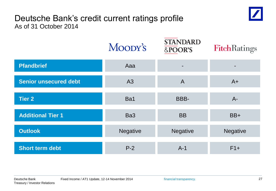### Deutsche Bank's credit current ratings profile As of 31 October 2014

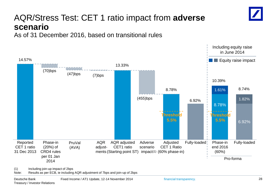## AQR/Stress Test: CET 1 ratio impact from **adverse scenario**

As of 31 December 2016, based on transitional rules

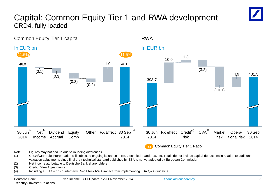### Capital: Common Equity Tier 1 and RWA development CRD4, fully-loaded



Note: Figures may not add up due to rounding differences

(1) CRD4/CRR rule interpretation still subject to ongoing issuance of EBA technical standards, etc. Totals do not include capital deductions in relation to additional valuation adjustments since final draft technical standard published by EBA is not yet adopted by European Commission

(2) Net income attributable to Deutsche Bank shareholders

(3) Credit Value Adjustments

(4) Including a EUR 4 bn counterparty Credit Risk RWA impact from implementing EBA Q&A guideline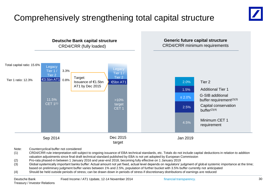## Comprehensively strengthening total capital structure



Note: Countercyclical buffer not considered

- (1) CRD4/CRR rule interpretation still subject to ongoing issuance of EBA technical standards, etc. Totals do not include capital deductions in relation to addition valuation adjustments since final draft technical standard published by EBA is not yet adopted by European Commission
- (2) Pro-rata phased-in between 1 January 2016 and year-end 2018, becoming fully effective on 1 January 2019
- (3) Global systemically important banks buffer: Actual amount not yet fixed, actual level depends on regulators' judgment of global systemic importance at the time; based on preliminary judgment buffer varies between 1% and 2.5%, population of further bucket with 3.5% buffer currently not anticipated
- (4) Should be held outside periods of stress; can be drawn down in periods of stress if discretionary distributions of earnings are reduced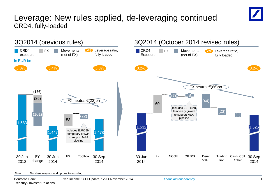### Leverage: New rules applied, de-leveraging continued CRD4, fully-loaded





#### Note: Numbers may not add up due to rounding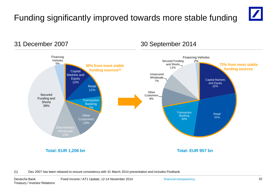# Funding significantly improved towards more stable funding



Capital Markets and Equity 22% Retail 31% **Transaction** Banking 20% **Other** Customers 8% Unsecured Wholesale 7% Secured Funding and Shorts 11% Financing Vehicles 2% **30% from most stable funding sources(1)** Capital Markets and **Equity** 12% **Retail** 11% **Transaction Banking** 7% **Other Customers** 13% Discretionary Wholesale 13% Secured Funding and **Shorts** 39% Financing Vehicles 5% **Total: EUR 1,206 bn** 31 December 2007 30 September 2014 **72% from most stable funding sources Total: EUR 957 bn**

(1) Dec 2007 has been rebased to ensure consistency with 31 March 2014 presentation and includes Postbank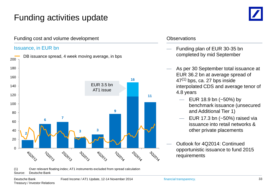## Funding activities update

Funding cost and volume development



#### (1) Over relevant floating index; AT1 instruments excluded from spread calculation Source: Deutsche Bank

#### **Observations**

- Funding plan of EUR 30-35 bn completed by mid September
	- As per 30 September total issuance at EUR 36.2 bn at average spread of  $47<sup>(1)</sup>$  bps, ca. 27 bps inside interpolated CDS and average tenor of 4.8 years
		- $-$  EUR 18.9 bn (~50%) by benchmark issuance (unsecured and Additional Tier 1)
		- EUR 17.3 bn  $(-50%)$  raised via issuance into retail networks & other private placements
	- Outlook for 4Q2014: Continued opportunistic issuance to fund 2015 requirements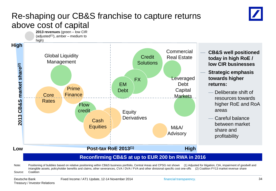### Re-shaping our CB&S franchise to capture returns above cost of capital





#### Note: Positioning of bubbles based on relative positioning within CB&S business portfolio, Central Areas and CPSG not shown (1) Adjusted for litigation, CtA, impairment of goodwill and intangible assets, policyholder benefits and claims, other severances, CVA / DVA / FVA and other divisional specific cost one-offs (2) Coalition FY13 market revenue share Source: Coalition

Treasury / Investor Relations

financial transparency. 34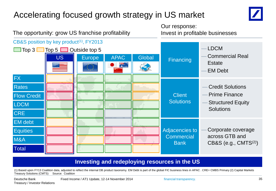## Accelerating focused growth strategy in US market



The opportunity: grow US franchise profitability Invest in profitable businesses  $CB&S$  position by key product<sup> $(1)$ </sup>, FY2013 — LDCM  $\Box$  Top 3  $\Box$  Top 5  $\Box$  Outside top 5 — Commercial Real US **Europe** APAC Global **Financing Estate**  $Z_{\overline{N}}$ . — EM Debt FX Rates — Credit Solutions — Prime Finance Client Flow Credit **Solutions Structured Equity** LDCM **Solutions CRE** EM debt Corporate coverage Adjacencies to **Equities** across GTB and **Commercial** M&A **Bank** CB&S (e.g.,  $CMTS<sup>(2)</sup>$ ) **Total** 

#### **Investing and redeploying resources in the US**

(1) Based upon FY13 Coalition data, adjusted to reflect the internal DB product taxonomy. EM Debt is part of the global FIC business lines in APAC . CRE= CMBS Primary (2) Capital Markets Treasury Solutions (CMTS) Source: Coalition

Our response: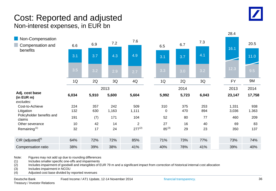

#### Cost: Reported and adjusted Non-interest expenses, in EUR bn



Note: Figures may not add up due to rounding differences

(1) Includes smaller specific one-offs and impairments

(2) Includes impairment of goodwill and intangibles of EUR 79 m and a significant impact from correction of historical internal cost allocation

(3) Includes impairment in NCOU

(4) Adjusted cost base divided by reported revenues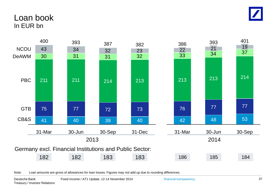

### Loan book In EUR bn



Note: Loan amounts are gross of allowances for loan losses. Figures may not add up due to rounding differences.

financial transparency. 37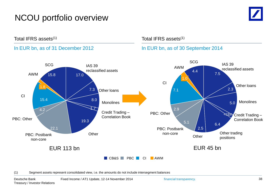## NCOU portfolio overview



Total IFRS assets(1)

#### In EUR bn, as of 31 December 2012

#### Total IFRS assets<sup>(1)</sup>

#### In EUR bn, as of 30 September 2014



(1) Segment assets represent consolidated view, i.e. the amounts do not include intersegment balances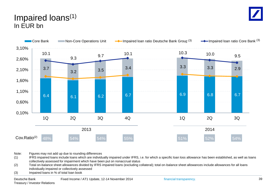### Impaired loans(1) In EUR bn



Note: Figures may not add up due to rounding differences

1300. If all the state of the state of the individually impaired under IFRS, i.e. for which a specific loan loss allowance has been established, as well as loans include loans which are individually impaired under IFRS, i. collectively assessed for impairment which have been put on nonaccrual status

**-40** (2) Total on-balance sheet allowances divided by IFRS impaired loans (excluding collateral); total on-balance sheet allowances include allowances for all loans individually impaired or collectively assessed

**-50** (3) Impaired loans in % of total loan book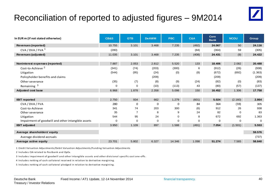## Reconciliation of reported to adjusted figures – 9M2014

|--|

| In EUR m (if not stated otherwise)                 | <b>CB&amp;S</b> | <b>GTB</b> | <b>De AWM</b> | <b>PBC</b> | <b>C&amp;A</b> | Core<br><b>Bank</b> | <b>NCOU</b> | <b>Group</b> |
|----------------------------------------------------|-----------------|------------|---------------|------------|----------------|---------------------|-------------|--------------|
| <b>Revenues (reported)</b>                         | 10.755          | 3.101      | 3.468         | 7.235      | (492)          | 24.067              | 50          | 24.116       |
| $CVA / DVA / FVA$ <sup>1</sup>                     | (280)           |            |               |            | (84)           | (364)               | 59          | (305)        |
| Revenues (adjusted)                                | 11.035          | 3.101      | 3.468         | 7.235      | (408)          | 24.431              | (9)         | 24.422       |
|                                                    |                 |            |               |            |                |                     |             |              |
| Noninterest expenses (reported)                    | 7.887           | 2.053      | 2.812         | 5.520      | 133            | 18.406              | 2.082       | 20,488       |
| Cost-to-Achieve <sup>2</sup>                       | (341)           | (74)       | (203)         | (300)      | 6              | (912)               | (26)        | (938)        |
| Litigation                                         | (544)           | (95)       | (24)          | (0)        | (8)            | (672)               | (692)       | (1.363)      |
| Policyholder benefits and claims                   |                 |            | (209)         |            |                | (209)               |             | (209)        |
| Other severance                                    | (35)            | (7)        | (8)           | (9)        | (24)           | (82)                | (0)         | (83)         |
| Remaining <sup>3</sup>                             | $\mathbf 0$     | 0          | (10)          | (113)      | 43             | (80)                | (57)        | (137)        |
| <b>Adjusted cost base</b>                          | 6.968           | 1.878      | 2.358         | 5.098      | 150            | 16.452              | 1.306       | 17.758       |
|                                                    |                 |            |               |            |                |                     |             |              |
| <b>IBIT</b> reported                               | 2.750           | 934        | 662           | 1.279      | (601)          | 5.024               | (2.160)     | 2.864        |
| CVA / DVA / FVA                                    | 280             | 0          | 0             | 0          | 84             | 364                 | (59)        | 305          |
| Cost-to-Achieve                                    | 341             | 74         | 203           | 300        | (6)            | 912                 | 26          | 938          |
| Other severance                                    | 35              |            | 8             | 9          | 24             | 82                  | $\Omega$    | 83           |
| Litigation                                         | 544             | 95         | 24            | 0          | 8              | 672                 | 692         | 1.363        |
| Impairment of goodwill and other intangible assets | 0               | $\Omega$   | 0             | 0          | $\Omega$       | 0                   | $\Omega$    | $\Omega$     |
| <b>IBIT adjusted</b>                               | 3.950           | 1.109      | 897           | 1.588      | (491)          | 7.054               | (1.501)     | 5.553        |
| Average shareholders' equity                       |                 |            |               |            |                |                     |             | 59.576       |
| Average dividend accruals                          |                 |            |               |            |                |                     |             | (737)        |
| Average active equity                              | 23.701          | 5.802      | 6.327         | 14.346     | 1.098          | 51.274              | 7.565       | 58.840       |
|                                                    |                 |            |               |            |                |                     |             |              |

1 Credit Valuation Adjustments/Debit Valuation Adjustments/Funding Valuation Adjustments

2 Includes CtA related to Postbank and OpEx.

3 Includes impairment of goodwill and other intangible assets and other divisional specific cost one-offs.

4 Includes netting of cash collateral received in relation to derivative margining.

5 Includes netting of cash collateral pledged in relation to derivative margining.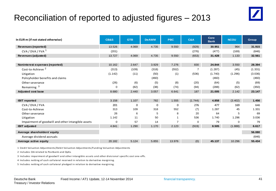## Reconciliation of reported to adjusted figures – 2013

| In EUR m (if not stated otherwise)                 | <b>CB&amp;S</b> | <b>GTB</b> | <b>De AWM</b> | <b>PBC</b> | C&A            | Core<br><b>Bank</b> | <b>NCOU</b> | <b>Group</b> |
|----------------------------------------------------|-----------------|------------|---------------|------------|----------------|---------------------|-------------|--------------|
| <b>Revenues (reported)</b>                         | 13.526          | 4.069      | 4.735         | 9.550      | (929)          | 30.951              | 964         | 31.915       |
| CVA / DVA / FVA <sup>1</sup>                       | (201)           |            |               |            | (276)          | (477)               | (169)       | (646)        |
| Revenues (adjusted)                                | 13.727          | 4.069      | 4.735         | 9.550      | (653)          | 31.428              | 1.133       | 32.561       |
|                                                    |                 |            |               |            |                |                     |             |              |
| Noninterest expenses (reported)                    | 10.162          | 2.647      | 3.929         | 7.276      | 830            | 24.844              | 3.550       | 28.394       |
| Cost-to-Achieve <sup>2</sup>                       | (313)           | (109)      | (318)         | (552)      | $\overline{7}$ | (1.287)             | (45)        | (1.331)      |
| Litigation                                         | (1.142)         | (11)       | (50)          | (1)        | (536)          | (1.740)             | (1.296)     | (3.036)      |
| Policyholder benefits and claims                   |                 |            | (460)         |            |                | (460)               |             | (460)        |
| Other severance                                    | (26)            | (6)        | (5)           | (8)        | (20)           | (64)                | (5)         | (69)         |
| Remaining <sup>3</sup>                             | $\mathbf 0$     | (82)       | (38)          | (74)       | (94)           | (288)               | (62)        | (350)        |
| <b>Adjusted cost base</b>                          | 8.680           | 2.440      | 3.057         | 6.641      | 187            | 21.005              | 2.142       | 23.147       |
|                                                    |                 |            |               |            |                |                     |             |              |
| <b>IBIT</b> reported                               | 3.158           | 1.107      | 782           | 1.555      | (1.744)        | 4.858               | (3.402)     | 1.456        |
| CVA / DVA / FVA                                    | 201             | $\Omega$   | 0             | 0          | 276            | 477                 | 169         | 646          |
| Cost-to-Achieve                                    | 313             | 109        | 318           | 552        | (7)            | 1.287               | 45          | 1.331        |
| Other severance                                    | 26              | 6          | 5             | 8          | 20             | 64                  | 5           | 69           |
| Litigation                                         | 1.142           | 11         | 50            |            | 536            | 1.740               | 1.296       | 3.036        |
| Impairment of goodwill and other intangible assets | $\mathbf 0$     | 57         | 14            |            | 0              | 79                  | 0           | 79           |
| <b>IBIT adjusted</b>                               | 4.841           | 1.290      | 1.170         | 2.123      | (919)          | 8.505               | (1.888)     | 6.617        |
| Average shareholders' equity                       |                 |            |               |            |                |                     |             | 56.080       |
| Average dividend accruals                          |                 |            |               |            |                |                     |             | (646)        |
| Average active equity                              | 20.182          | 5.124      | 5.855         | 13.976     | (0)            | 45.137              | 10.296      | 55.434       |

1 Credit Valuation Adjustments/Debit Valuation Adjustments/Funding Valuation Adjustments

2 Includes CtA related to Postbank and OpEx.

3 Includes impairment of goodwill and other intangible assets and other divisional specific cost one-offs.

4 Includes netting of cash collateral received in relation to derivative margining.

5 Includes netting of cash collateral pledged in relation to derivative margining.

 $\sqrt{\frac{1}{2}}$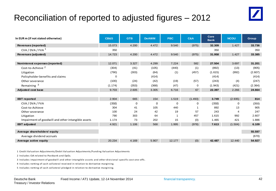## Reconciliation of reported to adjusted figures – 2012

| In EUR m (if not stated otherwise)                 | <b>CB&amp;S</b> | <b>GTB</b> | <b>De AWM</b> | <b>PBC</b>  | <b>C&amp;A</b> | Core<br><b>Bank</b> | <b>NCOU</b> | <b>Group</b> |
|----------------------------------------------------|-----------------|------------|---------------|-------------|----------------|---------------------|-------------|--------------|
| <b>Revenues (reported)</b>                         | 15.073          | 4.200      | 4.472         | 9.540       | (975)          | 32.309              | 1.427       | 33.736       |
| CVA / DVA / FVA <sup>1</sup>                       | 350             |            |               |             |                | 350                 |             | 350          |
| Revenues (adjusted)                                | 14.723          | 4.200      | 4.472         | 9.540       | (975)          | 31.958              | 1.427       | 33.385       |
|                                                    |                 |            |               |             |                |                     |             |              |
| Noninterest expenses (reported)                    | 12.071          | 3.327      | 4.299         | 7.224       | 582            | 27.504              | 3.697       | 31.201       |
| Cost-to-Achieve <sup>2</sup>                       | (304)           | (41)       | (105)         | (440)       | (1)            | (892)               | (13)        | (905)        |
| Litigation                                         | (790)           | (303)      | (64)          | (1)         | (457)          | (1.615)             | (992)       | (2.607)      |
| Policyholder benefits and claims                   | $\Omega$        |            | (414)         |             |                | (414)               |             | (414)        |
| Other severance                                    | (100)           | (24)       | (42)          | (19)        | (57)           | (243)               | (4)         | (247)        |
| Remaining <sup>3</sup>                             | (1.174)         | (353)      | (368)         | (47)        | 0              | (1.943)             | (421)       | (2.364)      |
| <b>Adjusted cost base</b>                          | 9.703           | 2.605      | 3.305         | 6.716       | 67             | 22.397              | 2.266       | 24.664       |
|                                                    |                 |            |               |             |                |                     |             |              |
| <b>IBIT</b> reported                               | 2.904           | 665        | 154           | 1.519       | (1.493)        | 3.749               | (2.935)     | 814          |
| CVA / DVA / FVA                                    | (350)           | 0          | 0             | $\mathbf 0$ | 0              | (350)               | $\Omega$    | (350)        |
| Cost-to-Achieve                                    | 304             | 41         | 105           | 440         |                | 892                 | 13          | 905          |
| Other severance                                    | 100             | 24         | 42            | 19          | 57             | 243                 | 4           | 247          |
| Litigation                                         | 790             | 303        | 64            |             | 457            | 1.615               | 992         | 2.607        |
| Impairment of goodwill and other intangible assets | 1.174           | 73         | 202           | 15          | (0)            | 1.465               | 421         | 1.886        |
| <b>IBIT adjusted</b>                               | 4.921           | 1.106      | 568           | 1.995       | (978)          | 7.613               | (1.504)     | 6.109        |
| Average shareholders' equity                       |                 |            |               |             |                |                     |             | 55.597       |
|                                                    |                 |            |               |             |                |                     |             | (670)        |
| Average dividend accruals                          |                 |            |               |             |                |                     |             |              |
| Average active equity                              | 20.234          | 4.169      | 5.907         | 12.177      | (0)            | 42.487              | 12.440      | 54.927       |

1 Credit Valuation Adjustments/Debit Valuation Adjustments/Funding Valuation Adjustments

2 Includes CtA related to Postbank and OpEx.

3 Includes impairment of goodwill and other intangible assets and other divisional specific cost one-offs.

4 Includes netting of cash collateral received in relation to derivative margining.

5 Includes netting of cash collateral pledged in relation to derivative margining.

 $\blacksquare$